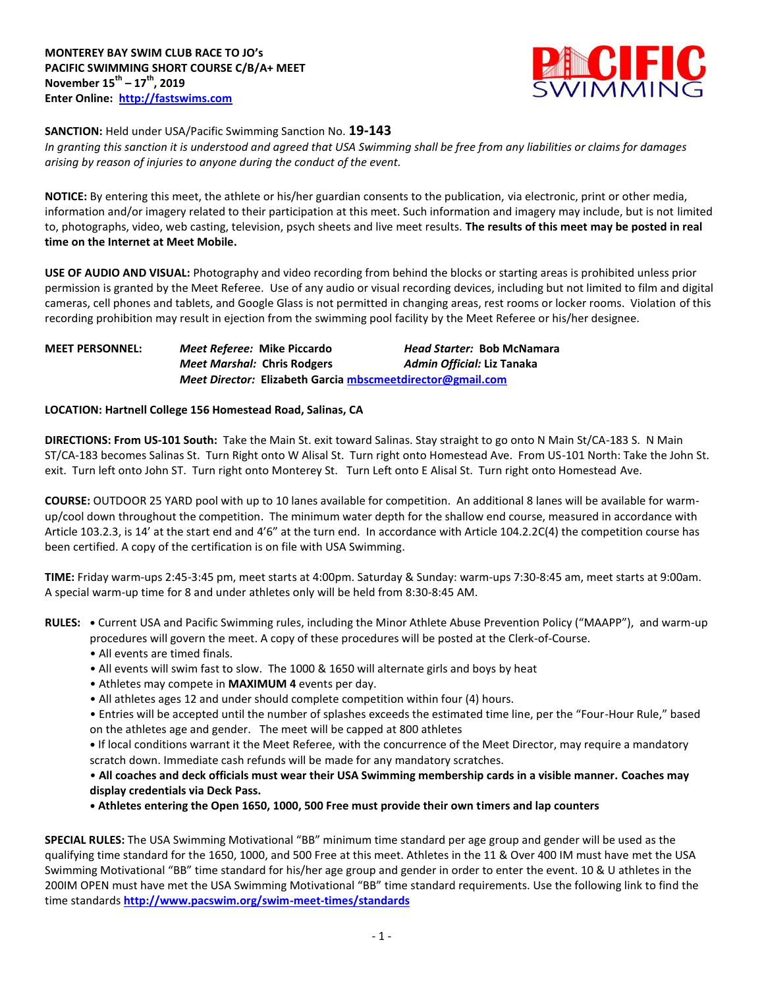

### **SANCTION:** Held under USA/Pacific Swimming Sanction No. **19-143**

*In granting this sanction it is understood and agreed that USA Swimming shall be free from any liabilities or claims for damages arising by reason of injuries to anyone during the conduct of the event.* 

**NOTICE:** By entering this meet, the athlete or his/her guardian consents to the publication, via electronic, print or other media, information and/or imagery related to their participation at this meet. Such information and imagery may include, but is not limited to, photographs, video, web casting, television, psych sheets and live meet results. **The results of this meet may be posted in real time on the Internet at Meet Mobile.**

**USE OF AUDIO AND VISUAL:** Photography and video recording from behind the blocks or starting areas is prohibited unless prior permission is granted by the Meet Referee. Use of any audio or visual recording devices, including but not limited to film and digital cameras, cell phones and tablets, and Google Glass is not permitted in changing areas, rest rooms or locker rooms. Violation of this recording prohibition may result in ejection from the swimming pool facility by the Meet Referee or his/her designee.

## **MEET PERSONNEL:** *Meet Referee:* **Mike Piccardo** *Head Starter:* **Bob McNamara** *Meet Marshal:* **Chris Rodgers** *Admin Official:* **Liz Tanaka** *Meet Director:* **Elizabeth Garcia [mbscmeetdirector@gmail.com](mailto:mbscmeetdirector@gmail.com)**

### **LOCATION: Hartnell College 156 Homestead Road, Salinas, CA**

**DIRECTIONS: From US-101 South:** Take the Main St. exit toward Salinas. Stay straight to go onto N Main St/CA-183 S. N Main ST/CA-183 becomes Salinas St. Turn Right onto W Alisal St. Turn right onto Homestead Ave. From US-101 North: Take the John St. exit. Turn left onto John ST. Turn right onto Monterey St. Turn Left onto E Alisal St. Turn right onto Homestead Ave.

**COURSE:** OUTDOOR 25 YARD pool with up to 10 lanes available for competition. An additional 8 lanes will be available for warmup/cool down throughout the competition. The minimum water depth for the shallow end course, measured in accordance with Article 103.2.3, is 14' at the start end and 4'6" at the turn end. In accordance with Article 104.2.2C(4) the competition course has been certified. A copy of the certification is on file with USA Swimming.

**TIME:** Friday warm-ups 2:45-3:45 pm, meet starts at 4:00pm. Saturday & Sunday: warm-ups 7:30-8:45 am, meet starts at 9:00am. A special warm-up time for 8 and under athletes only will be held from 8:30-8:45 AM.

**RULES: •** Current USA and Pacific Swimming rules, including the Minor Athlete Abuse Prevention Policy ("MAAPP"), and warm-up procedures will govern the meet. A copy of these procedures will be posted at the Clerk-of-Course.

- All events are timed finals.
- All events will swim fast to slow. The 1000 & 1650 will alternate girls and boys by heat
- Athletes may compete in **MAXIMUM 4** events per day.
- All athletes ages 12 and under should complete competition within four (4) hours.

• Entries will be accepted until the number of splashes exceeds the estimated time line, per the "Four-Hour Rule," based on the athletes age and gender. The meet will be capped at 800 athletes

**•** If local conditions warrant it the Meet Referee, with the concurrence of the Meet Director, may require a mandatory scratch down. Immediate cash refunds will be made for any mandatory scratches.

• **All coaches and deck officials must wear their USA Swimming membership cards in a visible manner. Coaches may display credentials via Deck Pass.**

**• Athletes entering the Open 1650, 1000, 500 Free must provide their own timers and lap counters**

**SPECIAL RULES:** The USA Swimming Motivational "BB" minimum time standard per age group and gender will be used as the qualifying time standard for the 1650, 1000, and 500 Free at this meet. Athletes in the 11 & Over 400 IM must have met the USA Swimming Motivational "BB" time standard for his/her age group and gender in order to enter the event. 10 & U athletes in the 200IM OPEN must have met the USA Swimming Motivational "BB" time standard requirements. Use the following link to find the time standards **<http://www.pacswim.org/swim-meet-times/standards>**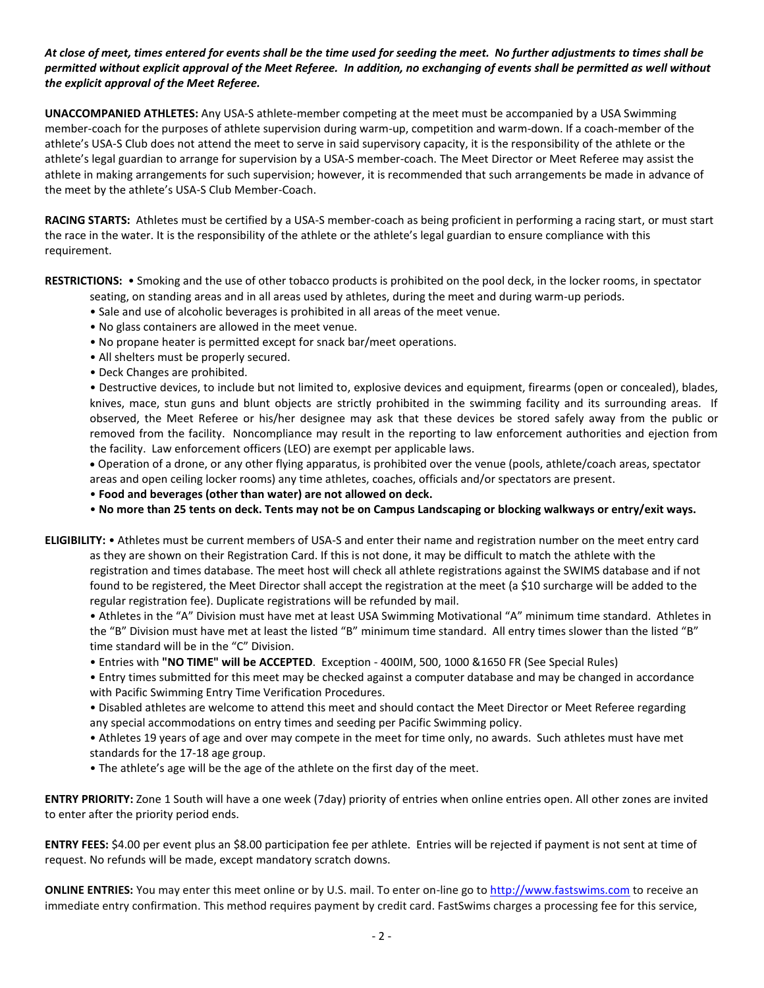## *At close of meet, times entered for events shall be the time used for seeding the meet. No further adjustments to times shall be permitted without explicit approval of the Meet Referee. In addition, no exchanging of events shall be permitted as well without the explicit approval of the Meet Referee.*

**UNACCOMPANIED ATHLETES:** Any USA-S athlete-member competing at the meet must be accompanied by a USA Swimming member-coach for the purposes of athlete supervision during warm-up, competition and warm-down. If a coach-member of the athlete's USA-S Club does not attend the meet to serve in said supervisory capacity, it is the responsibility of the athlete or the athlete's legal guardian to arrange for supervision by a USA-S member-coach. The Meet Director or Meet Referee may assist the athlete in making arrangements for such supervision; however, it is recommended that such arrangements be made in advance of the meet by the athlete's USA-S Club Member-Coach.

**RACING STARTS:** Athletes must be certified by a USA-S member-coach as being proficient in performing a racing start, or must start the race in the water. It is the responsibility of the athlete or the athlete's legal guardian to ensure compliance with this requirement.

**RESTRICTIONS:** • Smoking and the use of other tobacco products is prohibited on the pool deck, in the locker rooms, in spectator

- seating, on standing areas and in all areas used by athletes, during the meet and during warm-up periods.
- Sale and use of alcoholic beverages is prohibited in all areas of the meet venue.
- No glass containers are allowed in the meet venue.
- No propane heater is permitted except for snack bar/meet operations.
- All shelters must be properly secured.
- Deck Changes are prohibited.

• Destructive devices, to include but not limited to, explosive devices and equipment, firearms (open or concealed), blades, knives, mace, stun guns and blunt objects are strictly prohibited in the swimming facility and its surrounding areas. If observed, the Meet Referee or his/her designee may ask that these devices be stored safely away from the public or removed from the facility. Noncompliance may result in the reporting to law enforcement authorities and ejection from the facility. Law enforcement officers (LEO) are exempt per applicable laws.

 Operation of a drone, or any other flying apparatus, is prohibited over the venue (pools, athlete/coach areas, spectator areas and open ceiling locker rooms) any time athletes, coaches, officials and/or spectators are present.

• **Food and beverages (other than water) are not allowed on deck.**

• **No more than 25 tents on deck. Tents may not be on Campus Landscaping or blocking walkways or entry/exit ways.**

**ELIGIBILITY:** • Athletes must be current members of USA-S and enter their name and registration number on the meet entry card as they are shown on their Registration Card. If this is not done, it may be difficult to match the athlete with the registration and times database. The meet host will check all athlete registrations against the SWIMS database and if not found to be registered, the Meet Director shall accept the registration at the meet (a \$10 surcharge will be added to the regular registration fee). Duplicate registrations will be refunded by mail.

• Athletes in the "A" Division must have met at least USA Swimming Motivational "A" minimum time standard. Athletes in the "B" Division must have met at least the listed "B" minimum time standard. All entry times slower than the listed "B" time standard will be in the "C" Division.

• Entries with **"NO TIME" will be ACCEPTED**. Exception - 400IM, 500, 1000 &1650 FR (See Special Rules)

• Entry times submitted for this meet may be checked against a computer database and may be changed in accordance with Pacific Swimming Entry Time Verification Procedures.

• Disabled athletes are welcome to attend this meet and should contact the Meet Director or Meet Referee regarding any special accommodations on entry times and seeding per Pacific Swimming policy.

• Athletes 19 years of age and over may compete in the meet for time only, no awards. Such athletes must have met standards for the 17-18 age group.

• The athlete's age will be the age of the athlete on the first day of the meet.

**ENTRY PRIORITY:** Zone 1 South will have a one week (7day) priority of entries when online entries open. All other zones are invited to enter after the priority period ends.

**ENTRY FEES:** \$4.00 per event plus an \$8.00 participation fee per athlete. Entries will be rejected if payment is not sent at time of request. No refunds will be made, except mandatory scratch downs.

**ONLINE ENTRIES:** You may enter this meet online or by U.S. mail. To enter on-line go to [http://www.fastswims.com](http://www.fastswims.com/) to receive an immediate entry confirmation. This method requires payment by credit card. FastSwims charges a processing fee for this service,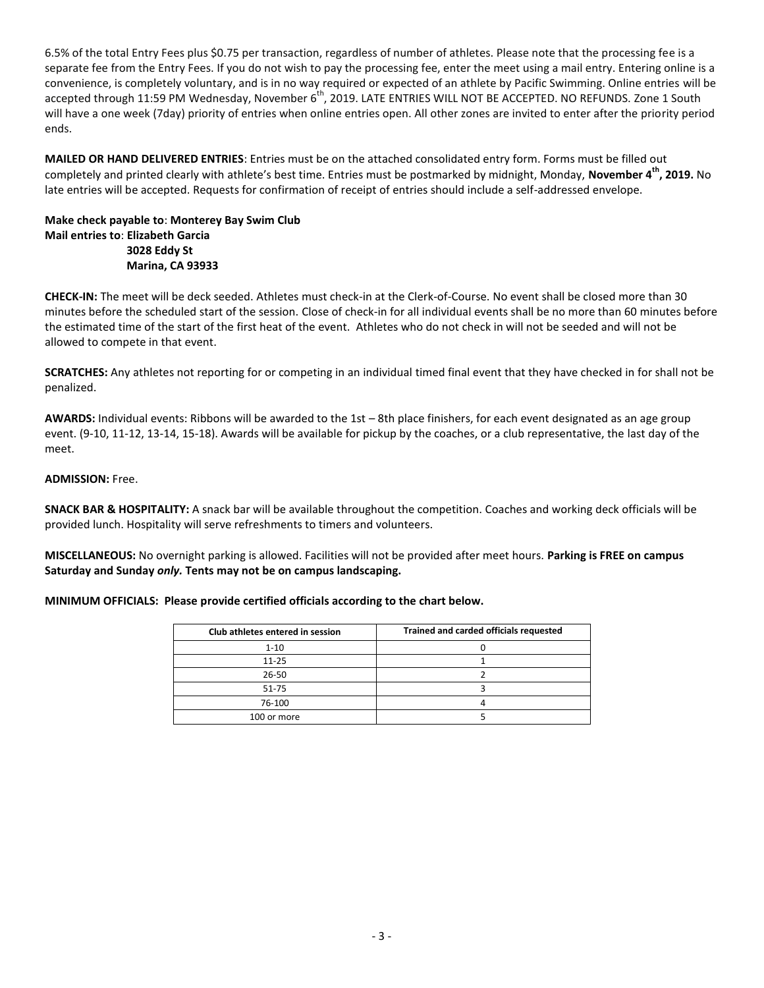6.5% of the total Entry Fees plus \$0.75 per transaction, regardless of number of athletes. Please note that the processing fee is a separate fee from the Entry Fees. If you do not wish to pay the processing fee, enter the meet using a mail entry. Entering online is a convenience, is completely voluntary, and is in no way required or expected of an athlete by Pacific Swimming. Online entries will be accepted through 11:59 PM Wednesday, November 6<sup>th</sup>, 2019. LATE ENTRIES WILL NOT BE ACCEPTED. NO REFUNDS. Zone 1 South will have a one week (7day) priority of entries when online entries open. All other zones are invited to enter after the priority period ends.

**MAILED OR HAND DELIVERED ENTRIES**: Entries must be on the attached consolidated entry form. Forms must be filled out completely and printed clearly with athlete's best time. Entries must be postmarked by midnight, Monday, **November 4th, 2019.** No late entries will be accepted. Requests for confirmation of receipt of entries should include a self-addressed envelope.

#### **Make check payable to**: **Monterey Bay Swim Club Mail entries to**: **Elizabeth Garcia 3028 Eddy St Marina, CA 93933**

**CHECK-IN:** The meet will be deck seeded. Athletes must check-in at the Clerk-of-Course. No event shall be closed more than 30 minutes before the scheduled start of the session. Close of check-in for all individual events shall be no more than 60 minutes before the estimated time of the start of the first heat of the event. Athletes who do not check in will not be seeded and will not be allowed to compete in that event.

**SCRATCHES:** Any athletes not reporting for or competing in an individual timed final event that they have checked in for shall not be penalized.

**AWARDS:** Individual events: Ribbons will be awarded to the 1st – 8th place finishers, for each event designated as an age group event. (9-10, 11-12, 13-14, 15-18). Awards will be available for pickup by the coaches, or a club representative, the last day of the meet.

### **ADMISSION:** Free.

**SNACK BAR & HOSPITALITY:** A snack bar will be available throughout the competition. Coaches and working deck officials will be provided lunch. Hospitality will serve refreshments to timers and volunteers.

**MISCELLANEOUS:** No overnight parking is allowed. Facilities will not be provided after meet hours. **Parking is FREE on campus Saturday and Sunday** *only.* **Tents may not be on campus landscaping.** 

#### **MINIMUM OFFICIALS: Please provide certified officials according to the chart below.**

| Club athletes entered in session | Trained and carded officials requested |  |  |  |  |  |  |
|----------------------------------|----------------------------------------|--|--|--|--|--|--|
| $1 - 10$                         |                                        |  |  |  |  |  |  |
| $11 - 25$                        |                                        |  |  |  |  |  |  |
| $26 - 50$                        |                                        |  |  |  |  |  |  |
| $51 - 75$                        |                                        |  |  |  |  |  |  |
| 76-100                           |                                        |  |  |  |  |  |  |
| 100 or more                      |                                        |  |  |  |  |  |  |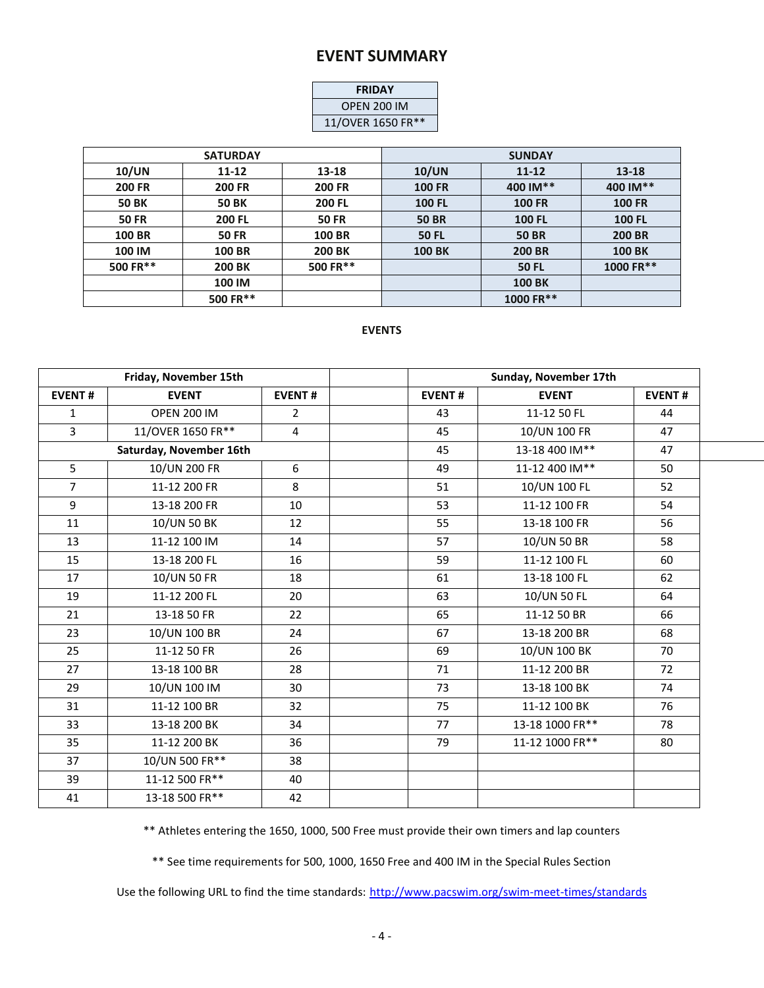# **EVENT SUMMARY**

| <b>FRIDAY</b>      |  |  |  |  |  |  |  |
|--------------------|--|--|--|--|--|--|--|
| <b>OPEN 200 IM</b> |  |  |  |  |  |  |  |
| 11/OVER 1650 FR**  |  |  |  |  |  |  |  |

|               | <b>SATURDAY</b> |               | <b>SUNDAY</b> |               |               |  |  |  |  |
|---------------|-----------------|---------------|---------------|---------------|---------------|--|--|--|--|
| 10/UN         | 11-12           | 13-18         | 10/UN         | $11 - 12$     | $13 - 18$     |  |  |  |  |
| <b>200 FR</b> | <b>200 FR</b>   | <b>200 FR</b> | <b>100 FR</b> | 400 IM**      | 400 IM**      |  |  |  |  |
| <b>50 BK</b>  | <b>50 BK</b>    | <b>200 FL</b> | <b>100 FL</b> | <b>100 FR</b> | <b>100 FR</b> |  |  |  |  |
| <b>50 FR</b>  | <b>200 FL</b>   | <b>50 FR</b>  | <b>50 BR</b>  | <b>100 FL</b> | <b>100 FL</b> |  |  |  |  |
| <b>100 BR</b> | <b>50 FR</b>    | <b>100 BR</b> | <b>50 FL</b>  | <b>50 BR</b>  | <b>200 BR</b> |  |  |  |  |
| 100 IM        | <b>100 BR</b>   | <b>200 BK</b> | <b>100 BK</b> | <b>200 BR</b> | <b>100 BK</b> |  |  |  |  |
| 500 FR**      | <b>200 BK</b>   | 500 FR**      |               | <b>50 FL</b>  | 1000 FR**     |  |  |  |  |
|               | 100 IM          |               |               | <b>100 BK</b> |               |  |  |  |  |
|               | 500 FR**        |               |               | 1000 FR**     |               |  |  |  |  |

## **EVENTS**

|                | Friday, November 15th   |                |               | Sunday, November 17th |               |
|----------------|-------------------------|----------------|---------------|-----------------------|---------------|
| <b>EVENT#</b>  | <b>EVENT</b>            | <b>EVENT#</b>  | <b>EVENT#</b> | <b>EVENT</b>          | <b>EVENT#</b> |
| 1              | <b>OPEN 200 IM</b>      | $\overline{2}$ | 43            | 11-12 50 FL           | 44            |
| 3              | 11/OVER 1650 FR**       | $\overline{4}$ | 45            | 10/UN 100 FR          | 47            |
|                | Saturday, November 16th |                | 45            | 13-18 400 IM**        | 47            |
| 5 <sup>1</sup> | 10/UN 200 FR            | 6              | 49            | 11-12 400 IM**        | 50            |
| $\overline{7}$ | 11-12 200 FR            | 8              | 51            | 10/UN 100 FL          | 52            |
| 9              | 13-18 200 FR            | 10             | 53            | 11-12 100 FR          | 54            |
| 11             | 10/UN 50 BK             | 12             | 55            | 13-18 100 FR          | 56            |
| 13             | 11-12 100 IM            | 14             | 57            | 10/UN 50 BR           | 58            |
| 15             | 13-18 200 FL            | 16             | 59            | 11-12 100 FL          | 60            |
| 17             | 10/UN 50 FR             | 18             | 61            | 13-18 100 FL          | 62            |
| 19             | 11-12 200 FL            | 20             | 63            | 10/UN 50 FL           | 64            |
| 21             | 13-18 50 FR             | 22             | 65            | 11-12 50 BR           | 66            |
| 23             | 10/UN 100 BR            | 24             | 67            | 13-18 200 BR          | 68            |
| 25             | 11-12 50 FR             | 26             | 69            | 10/UN 100 BK          | 70            |
| 27             | 13-18 100 BR            | 28             | 71            | 11-12 200 BR          | 72            |
| 29             | 10/UN 100 IM            | 30             | 73            | 13-18 100 BK          | 74            |
| 31             | 11-12 100 BR            | 32             | 75            | 11-12 100 BK          | 76            |
| 33             | 13-18 200 BK            | 34             | 77            | 13-18 1000 FR**       | 78            |
| 35             | 11-12 200 BK            | 36             | 79            | 11-12 1000 FR**       | 80            |
| 37             | 10/UN 500 FR**          | 38             |               |                       |               |
| 39             | 11-12 500 FR**          | 40             |               |                       |               |
| 41             | 13-18 500 FR**          | 42             |               |                       |               |

\*\* Athletes entering the 1650, 1000, 500 Free must provide their own timers and lap counters

\*\* See time requirements for 500, 1000, 1650 Free and 400 IM in the Special Rules Section

Use the following URL to find the time standards: <http://www.pacswim.org/swim-meet-times/standards>